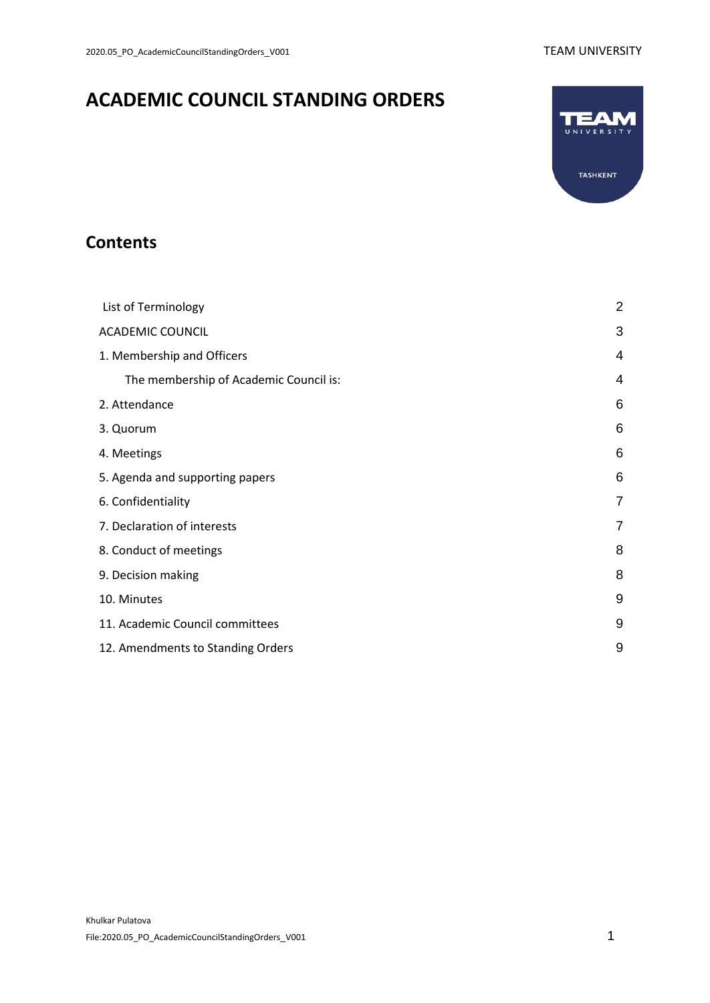# **ACADEMIC COUNCIL STANDING ORDERS**



## **Contents**

| List of Terminology                    |   |
|----------------------------------------|---|
| <b>ACADEMIC COUNCIL</b>                | 3 |
| 1. Membership and Officers             | 4 |
| The membership of Academic Council is: | 4 |
| 2. Attendance                          | 6 |
| 3. Quorum                              | 6 |
| 4. Meetings                            | 6 |
| 5. Agenda and supporting papers        | 6 |
| 6. Confidentiality                     | 7 |
| 7. Declaration of interests            | 7 |
| 8. Conduct of meetings                 | 8 |
| 9. Decision making                     | 8 |
| 10. Minutes                            | 9 |
| 11. Academic Council committees        | 9 |
| 12. Amendments to Standing Orders      | 9 |
|                                        |   |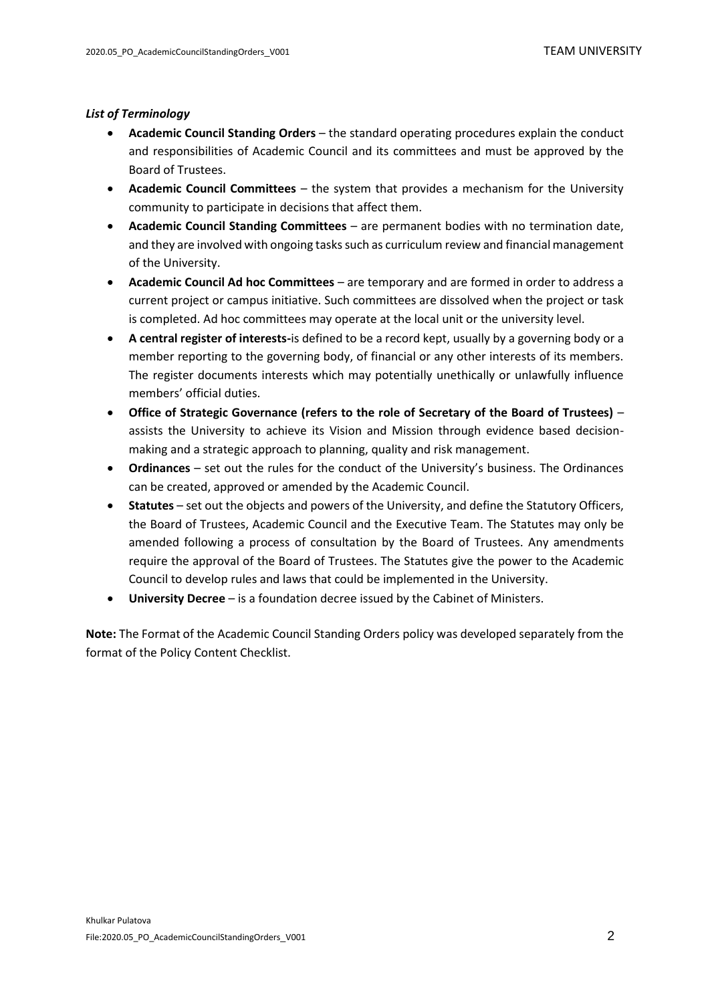#### <span id="page-1-0"></span>*List of Terminology*

- **Academic Council Standing Orders** the standard operating procedures explain the conduct and responsibilities of Academic Council and its committees and must be approved by the Board of Trustees.
- **Academic Council Committees** the system that provides a mechanism for the University community to participate in decisions that affect them.
- **Academic Council Standing Committees** are permanent bodies with no termination date, and they are involved with ongoing tasks such as curriculum review and financial management of the University.
- **Academic Council Ad hoc Committees**  are temporary and are formed in order to address a current project or campus initiative. Such committees are dissolved when the project or task is completed. Ad hoc committees may operate at the local unit or the university level.
- **A central register of interests-**is defined to be a record kept, usually by a governing body or a member reporting to the governing body, of financial or any other interests of its members. The register documents interests which may potentially unethically or unlawfully influence members' official duties.
- **Office of Strategic Governance (refers to the role of Secretary of the Board of Trustees)** assists the University to achieve its Vision and Mission through evidence based decisionmaking and a strategic approach to planning, quality and risk management.
- **Ordinances**  set out the rules for the conduct of the University's business. The Ordinances can be created, approved or amended by the Academic Council.
- **Statutes** set out the objects and powers of the University, and define the Statutory Officers, the Board of Trustees, Academic Council and the Executive Team. The Statutes may only be amended following a process of consultation by the Board of Trustees. Any amendments require the approval of the Board of Trustees. The Statutes give the power to the Academic Council to develop rules and laws that could be implemented in the University.
- **University Decree** is a foundation decree issued by the Cabinet of Ministers.

**Note:** The Format of the Academic Council Standing Orders policy was developed separately from the format of the Policy Content Checklist.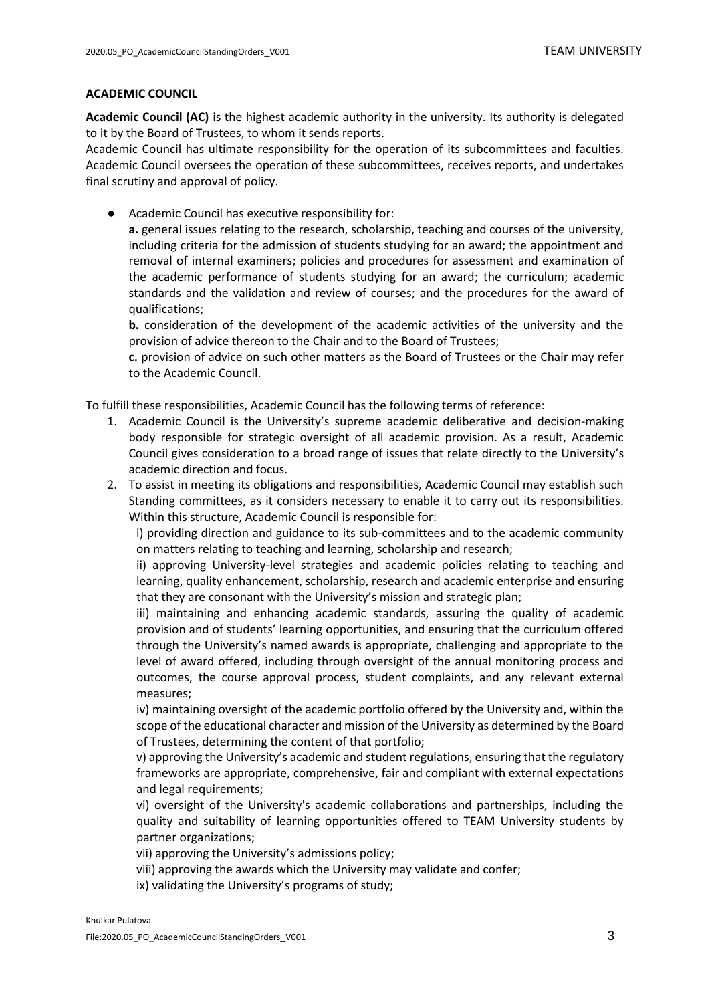#### <span id="page-2-0"></span>**ACADEMIC COUNCIL**

**Academic Council (AC)** is the highest academic authority in the university. Its authority is delegated to it by the Board of Trustees, to whom it sends reports.

Academic Council has ultimate responsibility for the operation of its subcommittees and faculties. Academic Council oversees the operation of these subcommittees, receives reports, and undertakes final scrutiny and approval of policy.

● Academic Council has executive responsibility for:

**a.** general issues relating to the research, scholarship, teaching and courses of the university, including criteria for the admission of students studying for an award; the appointment and removal of internal examiners; policies and procedures for assessment and examination of the academic performance of students studying for an award; the curriculum; academic standards and the validation and review of courses; and the procedures for the award of qualifications;

**b.** consideration of the development of the academic activities of the university and the provision of advice thereon to the Сhair and to the Board of Trustees;

**c.** provision of advice on such other matters as the Board of Trustees or the Chair may refer to the Academic Council.

To fulfill these responsibilities, Academic Council has the following terms of reference:

- 1. Academic Council is the University's supreme academic deliberative and decision-making body responsible for strategic oversight of all academic provision. As a result, Academic Council gives consideration to a broad range of issues that relate directly to the University's academic direction and focus.
- 2. To assist in meeting its obligations and responsibilities, Academic Council may establish such Standing committees, as it considers necessary to enable it to carry out its responsibilities. Within this structure, Academic Council is responsible for:

i) providing direction and guidance to its sub-committees and to the academic community on matters relating to teaching and learning, scholarship and research;

ii) approving University-level strategies and academic policies relating to teaching and learning, quality enhancement, scholarship, research and academic enterprise and ensuring that they are consonant with the University's mission and strategic plan;

iii) maintaining and enhancing academic standards, assuring the quality of academic provision and of students' learning opportunities, and ensuring that the curriculum offered through the University's named awards is appropriate, challenging and appropriate to the level of award offered, including through oversight of the annual monitoring process and outcomes, the course approval process, student complaints, and any relevant external measures;

iv) maintaining oversight of the academic portfolio offered by the University and, within the scope of the educational character and mission of the University as determined by the Board of Trustees, determining the content of that portfolio;

v) approving the University's academic and student regulations, ensuring that the regulatory frameworks are appropriate, comprehensive, fair and compliant with external expectations and legal requirements;

vi) oversight of the University's academic collaborations and partnerships, including the quality and suitability of learning opportunities offered to TEAM University students by partner organizations;

- vii) approving the University's admissions policy;
- viii) approving the awards which the University may validate and confer;
- ix) validating the University's programs of study;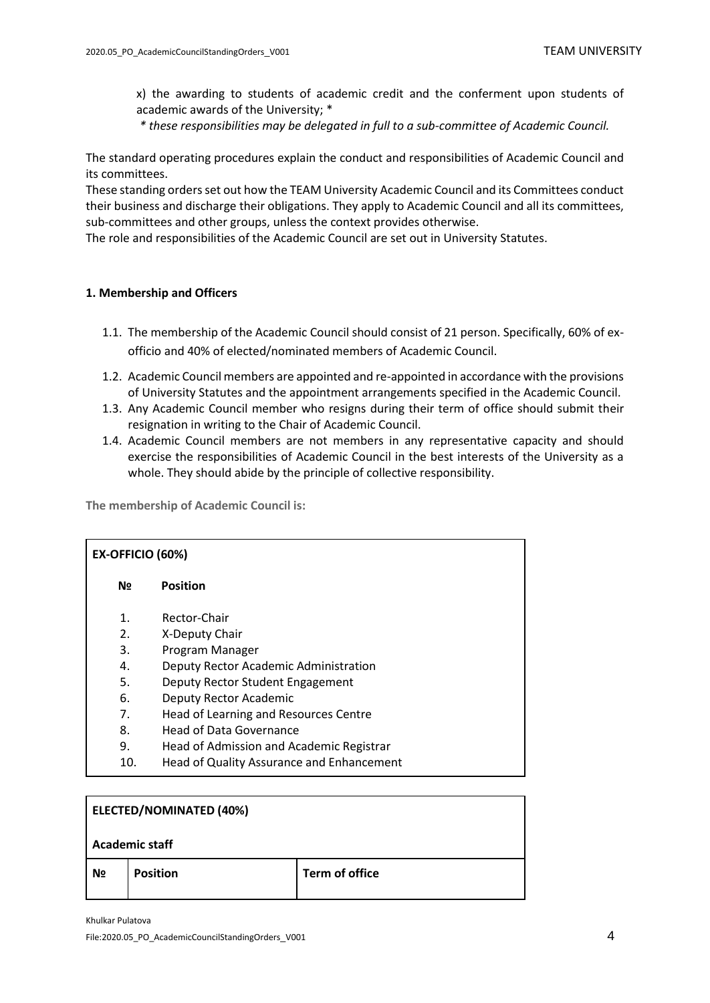x) the awarding to students of academic credit and the conferment upon students of academic awards of the University; \*

*\* these responsibilities may be delegated in full to a sub-committee of Academic Council.*

The standard operating procedures explain the conduct and responsibilities of Academic Council and its committees.

These standing orders set out how the TEAM University Academic Council and its Committees conduct their business and discharge their obligations. They apply to Academic Council and all its committees, sub-committees and other groups, unless the context provides otherwise.

The role and responsibilities of the Academic Council are set out in University Statutes.

#### <span id="page-3-0"></span>**1. Membership and Officers**

- 1.1. The membership of the Academic Council should consist of 21 person. Specifically, 60% of exofficio and 40% of elected/nominated members of Academic Council.
- 1.2. Academic Council members are appointed and re-appointed in accordance with the provisions of University Statutes and the appointment arrangements specified in the Academic Council.
- 1.3. Any Academic Council member who resigns during their term of office should submit their resignation in writing to the Chair of Academic Council.
- 1.4. Academic Council members are not members in any representative capacity and should exercise the responsibilities of Academic Council in the best interests of the University as a whole. They should abide by the principle of collective responsibility.

<span id="page-3-1"></span>**The membership of Academic Council is:**

| EX-OFFICIO (60%) |                                           |  |
|------------------|-------------------------------------------|--|
| Nº               | <b>Position</b>                           |  |
| $\mathbf{1}$ .   | Rector-Chair                              |  |
| 2.               | X-Deputy Chair                            |  |
| 3.               | Program Manager                           |  |
| 4.               | Deputy Rector Academic Administration     |  |
| 5.               | Deputy Rector Student Engagement          |  |
| 6.               | Deputy Rector Academic                    |  |
| 7.               | Head of Learning and Resources Centre     |  |
| 8.               | Head of Data Governance                   |  |
| 9.               | Head of Admission and Academic Registrar  |  |
| 10.              | Head of Quality Assurance and Enhancement |  |
|                  |                                           |  |

| <b>ELECTED/NOMINATED (40%)</b> |                 |                |  |
|--------------------------------|-----------------|----------------|--|
| <b>Academic staff</b>          |                 |                |  |
| N <sub>2</sub>                 | <b>Position</b> | Term of office |  |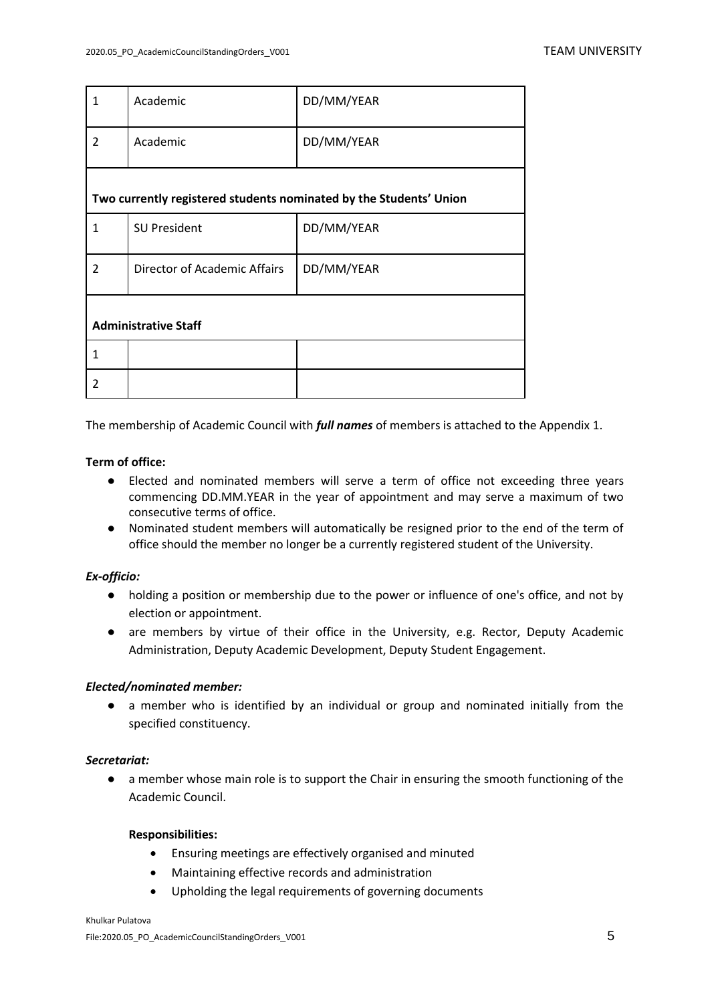| $\mathbf{1}$                | Academic                                                           | DD/MM/YEAR |  |  |
|-----------------------------|--------------------------------------------------------------------|------------|--|--|
| $\overline{2}$              | Academic                                                           | DD/MM/YEAR |  |  |
|                             |                                                                    |            |  |  |
|                             | Two currently registered students nominated by the Students' Union |            |  |  |
| $\mathbf{1}$                | <b>SU President</b>                                                | DD/MM/YEAR |  |  |
| $\overline{2}$              | Director of Academic Affairs                                       | DD/MM/YEAR |  |  |
|                             |                                                                    |            |  |  |
| <b>Administrative Staff</b> |                                                                    |            |  |  |
| 1                           |                                                                    |            |  |  |
| $\mathfrak z$               |                                                                    |            |  |  |

The membership of Academic Council with *full names* of members is attached to the Appendix 1.

### **Term of office:**

- Elected and nominated members will serve a term of office not exceeding three years commencing DD.MM.YEAR in the year of appointment and may serve a maximum of two consecutive terms of office.
- Nominated student members will automatically be resigned prior to the end of the term of office should the member no longer be a currently registered student of the University.

### *Ex-officio:*

- holding a position or membership due to the power or influence of one's office, and not by election or appointment.
- are members by virtue of their office in the University, e.g. Rector, Deputy Academic Administration, Deputy Academic Development, Deputy Student Engagement.

### *Elected/nominated member:*

● a member who is identified by an individual or group and nominated initially from the specified constituency.

### *Secretariat:*

● a member whose main role is to support the Chair in ensuring the smooth functioning of the Academic Council.

### **Responsibilities:**

- Ensuring meetings are effectively organised and minuted
- Maintaining effective records and administration
- Upholding the legal requirements of governing documents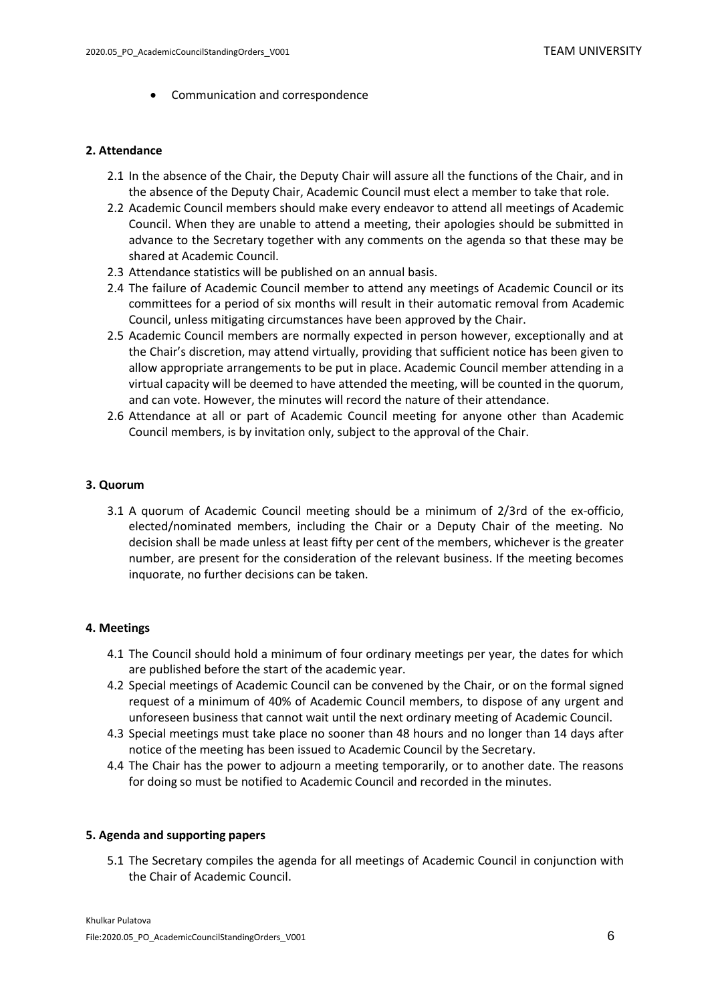• Communication and correspondence

#### <span id="page-5-0"></span>**2. Attendance**

- 2.1 In the absence of the Chair, the Deputy Chair will assure all the functions of the Chair, and in the absence of the Deputy Chair, Academic Council must elect a member to take that role.
- 2.2 Academic Council members should make every endeavor to attend all meetings of Academic Council. When they are unable to attend a meeting, their apologies should be submitted in advance to the Secretary together with any comments on the agenda so that these may be shared at Academic Council.
- 2.3 Attendance statistics will be published on an annual basis.
- 2.4 The failure of Academic Council member to attend any meetings of Academic Council or its committees for a period of six months will result in their automatic removal from Academic Council, unless mitigating circumstances have been approved by the Chair.
- 2.5 Academic Council members are normally expected in person however, exceptionally and at the Chair's discretion, may attend virtually, providing that sufficient notice has been given to allow appropriate arrangements to be put in place. Academic Council member attending in a virtual capacity will be deemed to have attended the meeting, will be counted in the quorum, and can vote. However, the minutes will record the nature of their attendance.
- 2.6 Attendance at all or part of Academic Council meeting for anyone other than Academic Council members, is by invitation only, subject to the approval of the Chair.

#### <span id="page-5-1"></span>**3. Quorum**

3.1 A quorum of Academic Council meeting should be a minimum of 2/3rd of the ex-officio, elected/nominated members, including the Chair or a Deputy Chair of the meeting. No decision shall be made unless at least fifty per cent of the members, whichever is the greater number, are present for the consideration of the relevant business. If the meeting becomes inquorate, no further decisions can be taken.

#### <span id="page-5-2"></span>**4. Meetings**

- 4.1 The Council should hold a minimum of four ordinary meetings per year, the dates for which are published before the start of the academic year.
- 4.2 Special meetings of Academic Council can be convened by the Chair, or on the formal signed request of a minimum of 40% of Academic Council members, to dispose of any urgent and unforeseen business that cannot wait until the next ordinary meeting of Academic Council.
- 4.3 Special meetings must take place no sooner than 48 hours and no longer than 14 days after notice of the meeting has been issued to Academic Council by the Secretary.
- 4.4 The Chair has the power to adjourn a meeting temporarily, or to another date. The reasons for doing so must be notified to Academic Council and recorded in the minutes.

#### <span id="page-5-3"></span>**5. Agenda and supporting papers**

5.1 The Secretary compiles the agenda for all meetings of Academic Council in conjunction with the Chair of Academic Council.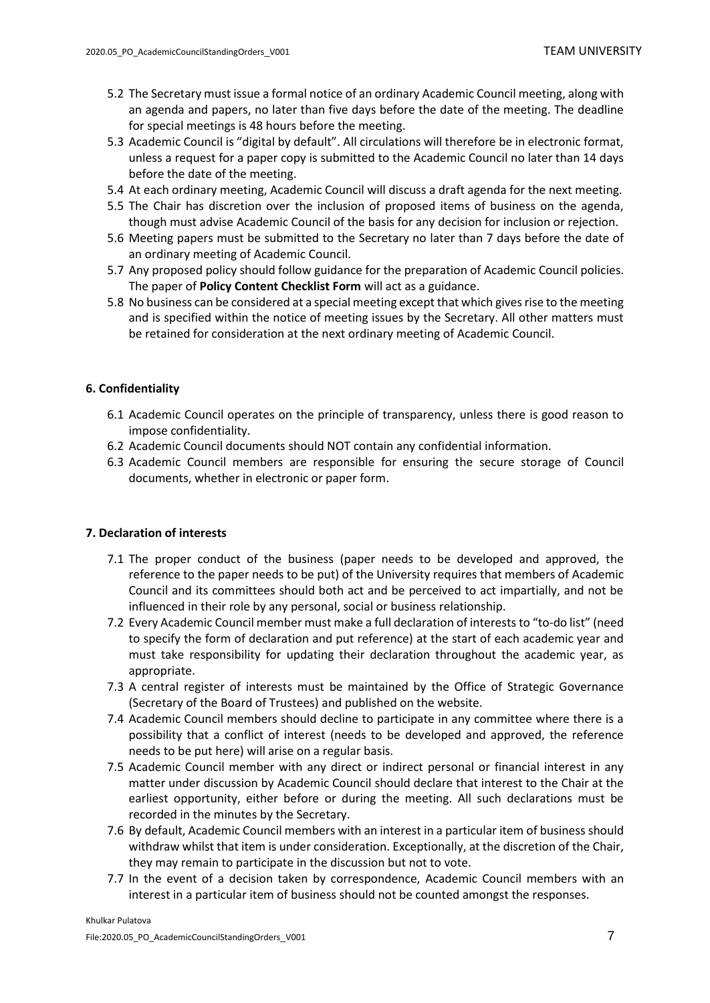- 5.2 The Secretary must issue a formal notice of an ordinary Academic Council meeting, along with an agenda and papers, no later than five days before the date of the meeting. The deadline for special meetings is 48 hours before the meeting.
- 5.3 Academic Council is "digital by default". All circulations will therefore be in electronic format, unless a request for a paper copy is submitted to the Academic Council no later than 14 days before the date of the meeting.
- 5.4 At each ordinary meeting, Academic Council will discuss a draft agenda for the next meeting.
- 5.5 The Chair has discretion over the inclusion of proposed items of business on the agenda, though must advise Academic Council of the basis for any decision for inclusion or rejection.
- 5.6 Meeting papers must be submitted to the Secretary no later than 7 days before the date of an ordinary meeting of Academic Council.
- 5.7 Any proposed policy should follow guidance for the preparation of Academic Council policies. The paper of **Policy Content Checklist Form** will act as a guidance.
- 5.8 No business can be considered at a special meeting except that which gives rise to the meeting and is specified within the notice of meeting issues by the Secretary. All other matters must be retained for consideration at the next ordinary meeting of Academic Council.

#### <span id="page-6-0"></span>**6. Confidentiality**

- 6.1 Academic Council operates on the principle of transparency, unless there is good reason to impose confidentiality.
- 6.2 Academic Council documents should NOT contain any confidential information.
- 6.3 Academic Council members are responsible for ensuring the secure storage of Council documents, whether in electronic or paper form.

### <span id="page-6-1"></span>**7. Declaration of interests**

- 7.1 The proper conduct of the business (paper needs to be developed and approved, the reference to the paper needs to be put) of the University requires that members of Academic Council and its committees should both act and be perceived to act impartially, and not be influenced in their role by any personal, social or business relationship.
- 7.2 Every Academic Council member must make a full declaration of interests to "to-do list" (need to specify the form of declaration and put reference) at the start of each academic year and must take responsibility for updating their declaration throughout the academic year, as appropriate.
- 7.3 A central register of interests must be maintained by the Office of Strategic Governance (Secretary of the Board of Trustees) and published on the website.
- 7.4 Academic Council members should decline to participate in any committee where there is a possibility that a conflict of interest (needs to be developed and approved, the reference needs to be put here) will arise on a regular basis.
- 7.5 Academic Council member with any direct or indirect personal or financial interest in any matter under discussion by Academic Council should declare that interest to the Chair at the earliest opportunity, either before or during the meeting. All such declarations must be recorded in the minutes by the Secretary.
- 7.6 By default, Academic Council members with an interest in a particular item of business should withdraw whilst that item is under consideration. Exceptionally, at the discretion of the Chair, they may remain to participate in the discussion but not to vote.
- 7.7 In the event of a decision taken by correspondence, Academic Council members with an interest in a particular item of business should not be counted amongst the responses.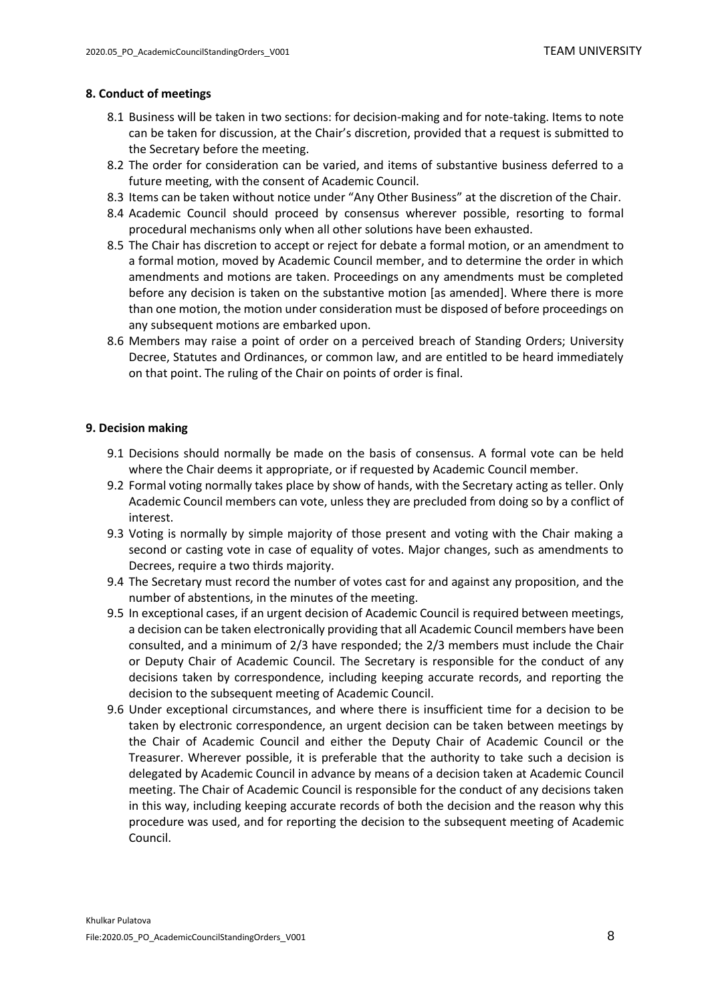#### <span id="page-7-0"></span>**8. Conduct of meetings**

- 8.1 Business will be taken in two sections: for decision-making and for note-taking. Items to note can be taken for discussion, at the Chair's discretion, provided that a request is submitted to the Secretary before the meeting.
- 8.2 The order for consideration can be varied, and items of substantive business deferred to a future meeting, with the consent of Academic Council.
- 8.3 Items can be taken without notice under "Any Other Business" at the discretion of the Chair.
- 8.4 Academic Council should proceed by consensus wherever possible, resorting to formal procedural mechanisms only when all other solutions have been exhausted.
- 8.5 The Chair has discretion to accept or reject for debate a formal motion, or an amendment to a formal motion, moved by Academic Council member, and to determine the order in which amendments and motions are taken. Proceedings on any amendments must be completed before any decision is taken on the substantive motion [as amended]. Where there is more than one motion, the motion under consideration must be disposed of before proceedings on any subsequent motions are embarked upon.
- 8.6 Members may raise a point of order on a perceived breach of Standing Orders; University Decree, Statutes and Ordinances, or common law, and are entitled to be heard immediately on that point. The ruling of the Chair on points of order is final.

#### <span id="page-7-1"></span>**9. Decision making**

- 9.1 Decisions should normally be made on the basis of consensus. A formal vote can be held where the Chair deems it appropriate, or if requested by Academic Council member.
- 9.2 Formal voting normally takes place by show of hands, with the Secretary acting as teller. Only Academic Council members can vote, unless they are precluded from doing so by a conflict of interest.
- 9.3 Voting is normally by simple majority of those present and voting with the Chair making a second or casting vote in case of equality of votes. Major changes, such as amendments to Decrees, require a two thirds majority.
- 9.4 The Secretary must record the number of votes cast for and against any proposition, and the number of abstentions, in the minutes of the meeting.
- 9.5 In exceptional cases, if an urgent decision of Academic Council is required between meetings, a decision can be taken electronically providing that all Academic Council members have been consulted, and a minimum of 2/3 have responded; the 2/3 members must include the Chair or Deputy Chair of Academic Council. The Secretary is responsible for the conduct of any decisions taken by correspondence, including keeping accurate records, and reporting the decision to the subsequent meeting of Academic Council.
- 9.6 Under exceptional circumstances, and where there is insufficient time for a decision to be taken by electronic correspondence, an urgent decision can be taken between meetings by the Chair of Academic Council and either the Deputy Chair of Academic Council or the Treasurer. Wherever possible, it is preferable that the authority to take such a decision is delegated by Academic Council in advance by means of a decision taken at Academic Council meeting. The Chair of Academic Council is responsible for the conduct of any decisions taken in this way, including keeping accurate records of both the decision and the reason why this procedure was used, and for reporting the decision to the subsequent meeting of Academic Council.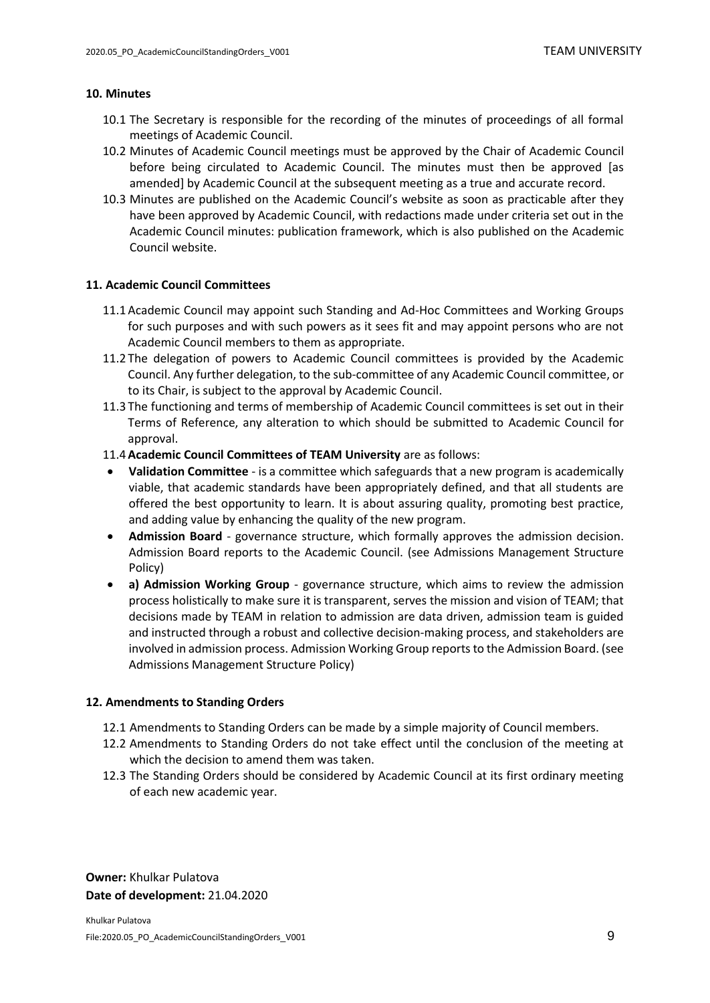#### <span id="page-8-0"></span>**10. Minutes**

- 10.1 The Secretary is responsible for the recording of the minutes of proceedings of all formal meetings of Academic Council.
- 10.2 Minutes of Academic Council meetings must be approved by the Chair of Academic Council before being circulated to Academic Council. The minutes must then be approved [as amended] by Academic Council at the subsequent meeting as a true and accurate record.
- 10.3 Minutes are published on the Academic Council's website as soon as practicable after they have been approved by Academic Council, with redactions made under criteria set out in the Academic Council minutes: publication framework, which is also published on the Academic Council website.

#### <span id="page-8-1"></span>**11. Academic Council Committees**

- 11.1Academic Council may appoint such Standing and Ad-Hoc Committees and Working Groups for such purposes and with such powers as it sees fit and may appoint persons who are not Academic Council members to them as appropriate.
- 11.2 The delegation of powers to Academic Council committees is provided by the Academic Council. Any further delegation, to the sub-committee of any Academic Council committee, or to its Chair, is subject to the approval by Academic Council.
- 11.3 The functioning and terms of membership of Academic Council committees is set out in their Terms of Reference, any alteration to which should be submitted to Academic Council for approval.
- 11.4**Academic Council Committees of TEAM University** are as follows:
- **Validation Committee** is a committee which safeguards that a new program is academically viable, that academic standards have been appropriately defined, and that all students are offered the best opportunity to learn. It is about assuring quality, promoting best practice, and adding value by enhancing the quality of the new program.
- **Admission Board** governance structure, which formally approves the admission decision. Admission Board reports to the Academic Council. (see Admissions Management Structure Policy)
- **a) Admission Working Group** governance structure, which aims to review the admission process holistically to make sure it is transparent, serves the mission and vision of TEAM; that decisions made by TEAM in relation to admission are data driven, admission team is guided and instructed through a robust and collective decision-making process, and stakeholders are involved in admission process. Admission Working Group reports to the Admission Board. (see Admissions Management Structure Policy)

#### <span id="page-8-2"></span>**12. Amendments to Standing Orders**

- 12.1 Amendments to Standing Orders can be made by a simple majority of Council members.
- 12.2 Amendments to Standing Orders do not take effect until the conclusion of the meeting at which the decision to amend them was taken.
- 12.3 The Standing Orders should be considered by Academic Council at its first ordinary meeting of each new academic year.

**Owner:** Khulkar Pulatova **Date of development:** 21.04.2020